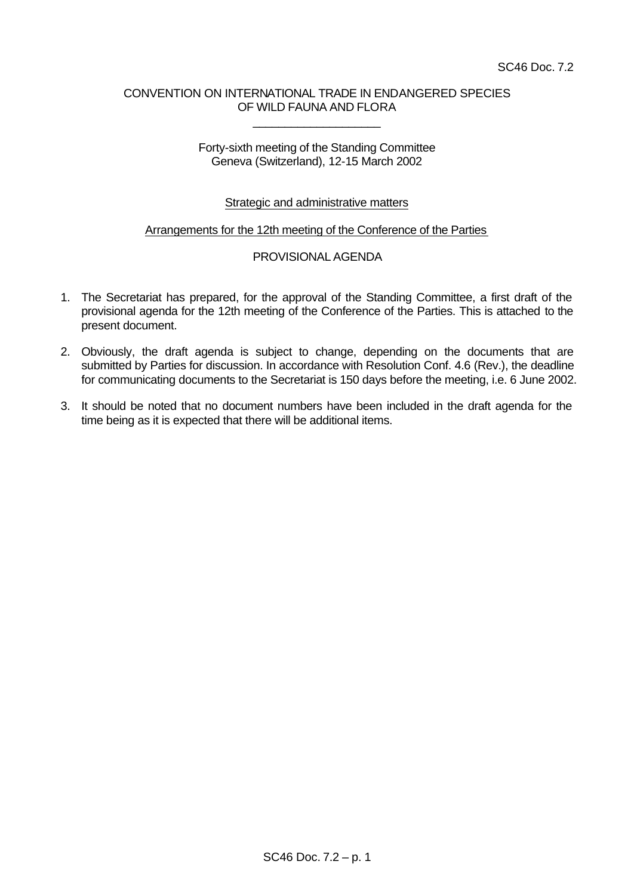# CONVENTION ON INTERNATIONAL TRADE IN ENDANGERED SPECIES OF WILD FAUNA AND FLORA

\_\_\_\_\_\_\_\_\_\_\_\_\_\_\_\_\_\_\_\_

## Forty-sixth meeting of the Standing Committee Geneva (Switzerland), 12-15 March 2002

# Strategic and administrative matters

### Arrangements for the 12th meeting of the Conference of the Parties

# PROVISIONAL AGENDA

- 1. The Secretariat has prepared, for the approval of the Standing Committee, a first draft of the provisional agenda for the 12th meeting of the Conference of the Parties. This is attached to the present document.
- 2. Obviously, the draft agenda is subject to change, depending on the documents that are submitted by Parties for discussion. In accordance with Resolution Conf. 4.6 (Rev.), the deadline for communicating documents to the Secretariat is 150 days before the meeting, i.e. 6 June 2002.
- 3. It should be noted that no document numbers have been included in the draft agenda for the time being as it is expected that there will be additional items.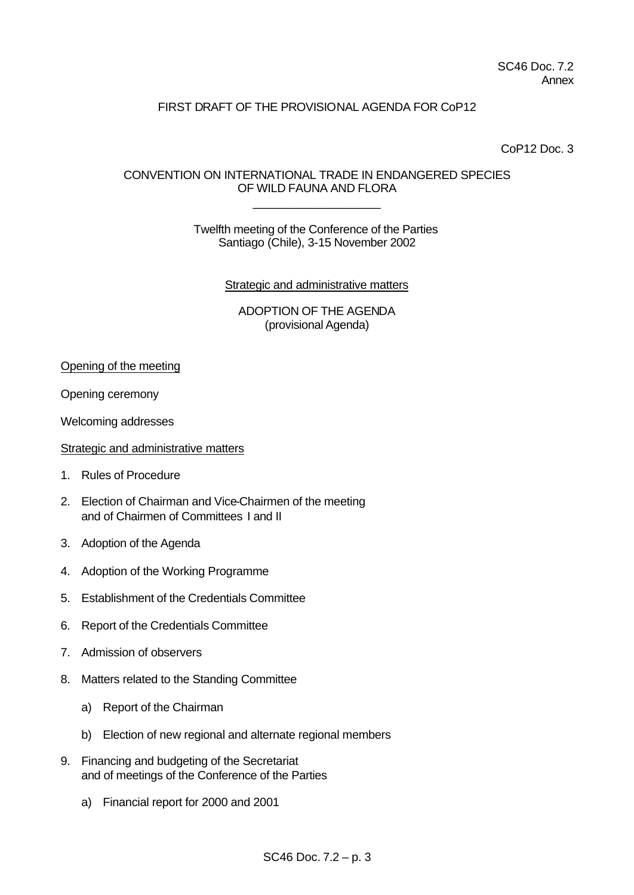# FIRST DRAFT OF THE PROVISIONAL AGENDA FOR CoP12

CoP12 Doc. 3

# CONVENTION ON INTERNATIONAL TRADE IN ENDANGERED SPECIES OF WILD FAUNA AND FLORA

\_\_\_\_\_\_\_\_\_\_\_\_\_\_\_\_\_\_\_\_

Twelfth meeting of the Conference of the Parties Santiago (Chile), 3-15 November 2002

**Strategic and administrative matters** 

ADOPTION OF THE AGENDA (provisional Agenda)

Opening of the meeting

Opening ceremony

Welcoming addresses

Strategic and administrative matters

- 1. Rules of Procedure
- 2. Election of Chairman and Vice-Chairmen of the meeting and of Chairmen of Committees I and II
- 3. Adoption of the Agenda
- 4. Adoption of the Working Programme
- 5. Establishment of the Credentials Committee
- 6. Report of the Credentials Committee
- 7. Admission of observers
- 8. Matters related to the Standing Committee
	- a) Report of the Chairman
	- b) Election of new regional and alternate regional members
- 9. Financing and budgeting of the Secretariat and of meetings of the Conference of the Parties
	- a) Financial report for 2000 and 2001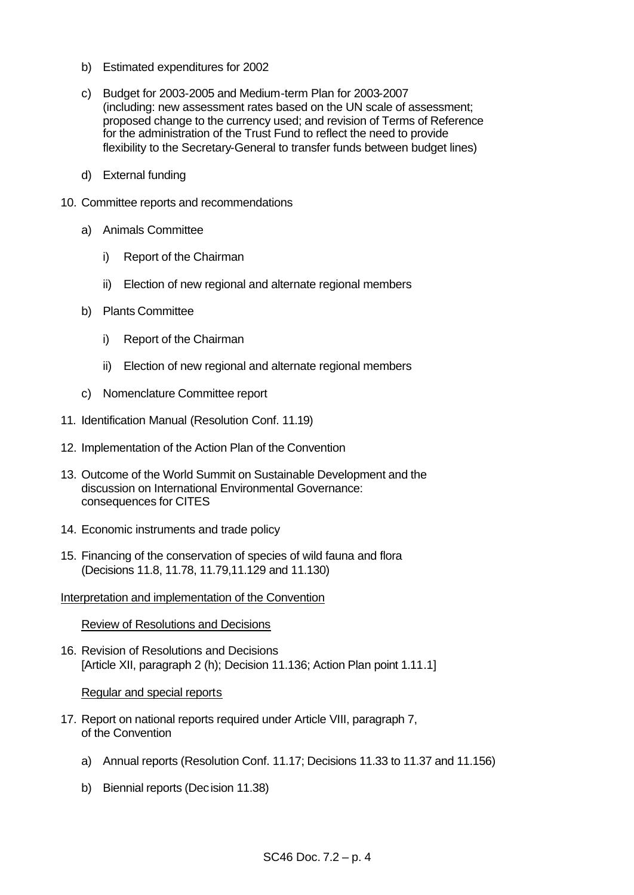- b) Estimated expenditures for 2002
- c) Budget for 2003-2005 and Medium-term Plan for 2003-2007 (including: new assessment rates based on the UN scale of assessment; proposed change to the currency used; and revision of Terms of Reference for the administration of the Trust Fund to reflect the need to provide flexibility to the Secretary-General to transfer funds between budget lines)
- d) External funding
- 10. Committee reports and recommendations
	- a) Animals Committee
		- i) Report of the Chairman
		- ii) Election of new regional and alternate regional members
	- b) Plants Committee
		- i) Report of the Chairman
		- ii) Election of new regional and alternate regional members
	- c) Nomenclature Committee report
- 11. Identification Manual (Resolution Conf. 11.19)
- 12. Implementation of the Action Plan of the Convention
- 13. Outcome of the World Summit on Sustainable Development and the discussion on International Environmental Governance: consequences for CITES
- 14. Economic instruments and trade policy
- 15. Financing of the conservation of species of wild fauna and flora (Decisions 11.8, 11.78, 11.79,11.129 and 11.130)

Interpretation and implementation of the Convention

Review of Resolutions and Decisions

16. Revision of Resolutions and Decisions [Article XII, paragraph 2 (h); Decision 11.136; Action Plan point 1.11.1]

#### Regular and special reports

- 17. Report on national reports required under Article VIII, paragraph 7, of the Convention
	- a) Annual reports (Resolution Conf. 11.17; Decisions 11.33 to 11.37 and 11.156)
	- b) Biennial reports (Decision 11.38)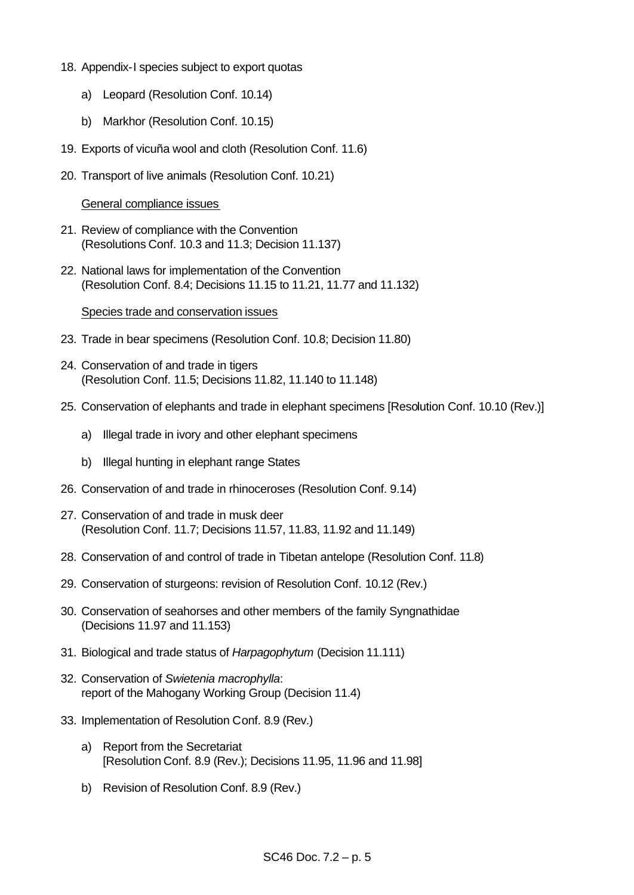- 18. Appendix-I species subject to export quotas
	- a) Leopard (Resolution Conf. 10.14)
	- b) Markhor (Resolution Conf. 10.15)
- 19. Exports of vicuña wool and cloth (Resolution Conf. 11.6)
- 20. Transport of live animals (Resolution Conf. 10.21)

General compliance issues

- 21. Review of compliance with the Convention (Resolutions Conf. 10.3 and 11.3; Decision 11.137)
- 22. National laws for implementation of the Convention (Resolution Conf. 8.4; Decisions 11.15 to 11.21, 11.77 and 11.132)

#### Species trade and conservation issues

- 23. Trade in bear specimens (Resolution Conf. 10.8; Decision 11.80)
- 24. Conservation of and trade in tigers (Resolution Conf. 11.5; Decisions 11.82, 11.140 to 11.148)
- 25. Conservation of elephants and trade in elephant specimens [Resolution Conf. 10.10 (Rev.)]
	- a) Illegal trade in ivory and other elephant specimens
	- b) Illegal hunting in elephant range States
- 26. Conservation of and trade in rhinoceroses (Resolution Conf. 9.14)
- 27. Conservation of and trade in musk deer (Resolution Conf. 11.7; Decisions 11.57, 11.83, 11.92 and 11.149)
- 28. Conservation of and control of trade in Tibetan antelope (Resolution Conf. 11.8)
- 29. Conservation of sturgeons: revision of Resolution Conf. 10.12 (Rev.)
- 30. Conservation of seahorses and other members of the family Syngnathidae (Decisions 11.97 and 11.153)
- 31. Biological and trade status of *Harpagophytum* (Decision 11.111)
- 32. Conservation of *Swietenia macrophylla*: report of the Mahogany Working Group (Decision 11.4)
- 33. Implementation of Resolution Conf. 8.9 (Rev.)
	- a) Report from the Secretariat [Resolution Conf. 8.9 (Rev.); Decisions 11.95, 11.96 and 11.98]
	- b) Revision of Resolution Conf. 8.9 (Rev.)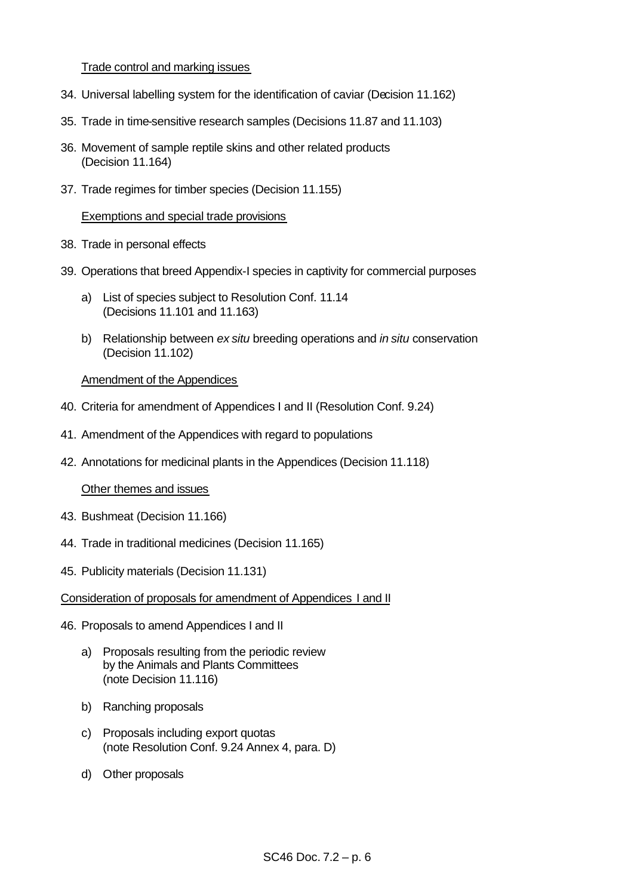## Trade control and marking issues

- 34. Universal labelling system for the identification of caviar (Decision 11.162)
- 35. Trade in time-sensitive research samples (Decisions 11.87 and 11.103)
- 36. Movement of sample reptile skins and other related products (Decision 11.164)
- 37. Trade regimes for timber species (Decision 11.155)

## Exemptions and special trade provisions

- 38. Trade in personal effects
- 39. Operations that breed Appendix-I species in captivity for commercial purposes
	- a) List of species subject to Resolution Conf. 11.14 (Decisions 11.101 and 11.163)
	- b) Relationship between *ex situ* breeding operations and *in situ* conservation (Decision 11.102)

## Amendment of the Appendices

- 40. Criteria for amendment of Appendices I and II (Resolution Conf. 9.24)
- 41. Amendment of the Appendices with regard to populations
- 42. Annotations for medicinal plants in the Appendices (Decision 11.118)

#### Other themes and issues

- 43. Bushmeat (Decision 11.166)
- 44. Trade in traditional medicines (Decision 11.165)
- 45. Publicity materials (Decision 11.131)
- Consideration of proposals for amendment of Appendices I and II
- 46. Proposals to amend Appendices I and II
	- a) Proposals resulting from the periodic review by the Animals and Plants Committees (note Decision 11.116)
	- b) Ranching proposals
	- c) Proposals including export quotas (note Resolution Conf. 9.24 Annex 4, para. D)
	- d) Other proposals